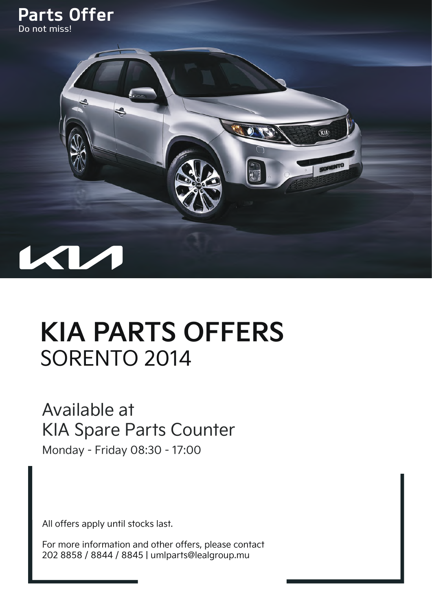



## **KIA PARTS OFFERS** SORENTO 2014

## Available at KIA Spare Parts Counter

Monday - Friday 08:30 - 17:00

All offers apply until stocks last.

For more information and other offers, please contact 202 8858 / 8844 / 8845 | umlparts@lealgroup.mu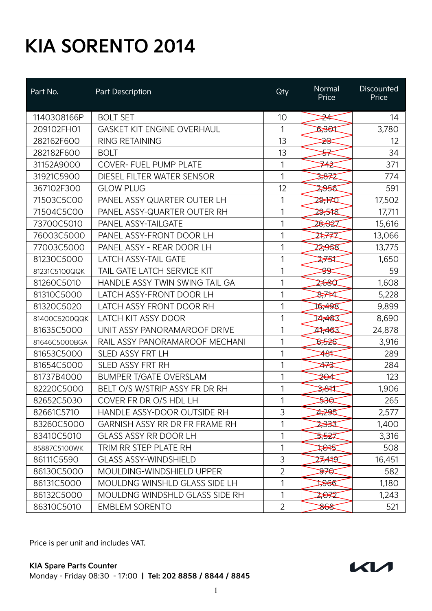## **KIA SORENTO 2014**

| Part No.      | Part Description                  | Qty            | Normal<br>Price  | Discounted<br>Price |
|---------------|-----------------------------------|----------------|------------------|---------------------|
| 1140308166P   | <b>BOLT SET</b>                   | 10             | <del>⊅≮</del>    | 14                  |
| 209102FH01    | <b>GASKET KIT ENGINE OVERHAUL</b> | 1              | प्रेश्व          | 3,780               |
| 282162F600    | <b>RING RETAINING</b>             | 13             | <del>⊅≪</del>    | 12                  |
| 282182F600    | <b>BOLT</b>                       | 13             | <del>У</del>     | 34                  |
| 31152A9000    | <b>COVER- FUEL PUMP PLATE</b>     | 1              | ⋙                | 371                 |
| 31921C5900    | DIESEL FILTER WATER SENSOR        | 1              | 3,872            | 774                 |
| 367102F300    | <b>GLOW PLUG</b>                  | 12             | 2956             | 591                 |
| 71503C5C00    | PANEL ASSY QUARTER OUTER LH       | 1              | 29,170           | 17,502              |
| 71504C5C00    | PANEL ASSY-QUARTER OUTER RH       | 1              | 29,518           | 17,711              |
| 73700C5010    | PANEL ASSY-TAILGATE               | 1              | 26,027           | 15,616              |
| 76003C5000    | PANEL ASSY-FRONT DOOR LH          | 1              | 24,777           | 13,066              |
| 77003C5000    | PANEL ASSY - REAR DOOR LH         | 1              | 22,958           | 13,775              |
| 81230C5000    | <b>LATCH ASSY-TAIL GATE</b>       | 1              | 275⊄             | 1,650               |
| 81231C5100QQK | TAIL GATE LATCH SERVICE KIT       | 1              | <del>≫</del>     | 59                  |
| 81260C5010    | HANDLE ASSY TWIN SWING TAIL GA    | 1              | 2,680            | 1,608               |
| 81310C5000    | LATCH ASSY-FRONT DOOR LH          | 1              | 87744            | 5,228               |
| 81320C5020    | LATCH ASSY FRONT DOOR RH          | 1              | 16,498           | 9,899               |
| 81400C5200QQK | <b>LATCH KIT ASSY DOOR</b>        | 1              | 14,483           | 8,690               |
| 81635C5000    | UNIT ASSY PANORAMAROOF DRIVE      | 1              | 17,463           | 24,878              |
| 81646C5000BGA | RAIL ASSY PANORAMAROOF MECHANI    | 1              | 5,526            | 3,916               |
| 81653C5000    | <b>SLED ASSY FRT LH</b>           | 1              | ≱୫≭              | 289                 |
| 81654C5000    | <b>SLED ASSY FRT RH</b>           | 1              | ≱⊰               | 284                 |
| 81737B4000    | <b>BUMPER T/GATE OVERSLAM</b>     | 1              | ≱⊖≰              | 123                 |
| 82220C5000    | BELT O/S W/STRIP ASSY FR DR RH    | 1              | 3 <del>,81</del> | 1,906               |
| 82652C5030    | COVER FR DR O/S HDL LH            | 1              | ₩                | 265                 |
| 82661C5710    | HANDLE ASSY-DOOR OUTSIDE RH       | 3              | 1295             | 2,577               |
| 83260C5000    | GARNISH ASSY RR DR FR FRAME RH    | 1              | 2,333            | 1,400               |
| 83410C5010    | <b>GLASS ASSY RR DOOR LH</b>      | 1              | ৯৯ঽ৴             | 3,316               |
| 85887C5100WK  | TRIM RR STEP PLATE RH             | 1              | स्रिस्ट          | 508                 |
| 86111C5590    | <b>GLASS ASSY-WINDSHIELD</b>      | 3              | 27,419           | 16,451              |
| 86130C5000    | MOULDING-WINDSHIELD UPPER         | $\overline{2}$ | <del>97⊄</del>   | 582                 |
| 86131C5000    | MOULDNG WINSHLD GLASS SIDE LH     | 1              | 1966             | 1,180               |
| 86132C5000    | MOULDNG WINDSHLD GLASS SIDE RH    | 1              | 2,072            | 1,243               |
| 86310C5010    | <b>EMBLEM SORENTO</b>             | $\overline{2}$ | 868              | 521                 |

Price is per unit and includes VAT.